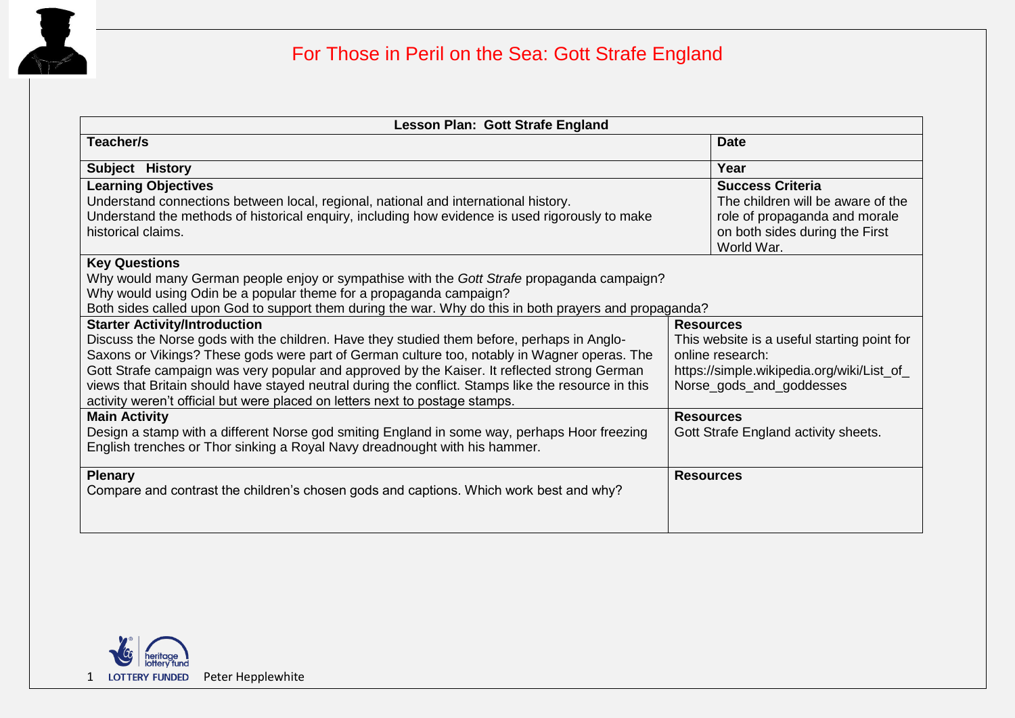

## For Those in Peril on the Sea: Gott Strafe England

| Lesson Plan: Gott Strafe England                                                                                                                                                                                                                                                                                                                                                                                                                                                  |                                                                                                                                               |
|-----------------------------------------------------------------------------------------------------------------------------------------------------------------------------------------------------------------------------------------------------------------------------------------------------------------------------------------------------------------------------------------------------------------------------------------------------------------------------------|-----------------------------------------------------------------------------------------------------------------------------------------------|
| Teacher/s                                                                                                                                                                                                                                                                                                                                                                                                                                                                         | <b>Date</b>                                                                                                                                   |
| Subject History                                                                                                                                                                                                                                                                                                                                                                                                                                                                   | Year                                                                                                                                          |
| <b>Learning Objectives</b><br>Understand connections between local, regional, national and international history.<br>Understand the methods of historical enquiry, including how evidence is used rigorously to make<br>historical claims.                                                                                                                                                                                                                                        | <b>Success Criteria</b><br>The children will be aware of the<br>role of propaganda and morale<br>on both sides during the First<br>World War. |
| <b>Key Questions</b><br>Why would many German people enjoy or sympathise with the Gott Strafe propaganda campaign?<br>Why would using Odin be a popular theme for a propaganda campaign?<br>Both sides called upon God to support them during the war. Why do this in both prayers and propaganda?                                                                                                                                                                                |                                                                                                                                               |
| <b>Starter Activity/Introduction</b>                                                                                                                                                                                                                                                                                                                                                                                                                                              | <b>Resources</b>                                                                                                                              |
| Discuss the Norse gods with the children. Have they studied them before, perhaps in Anglo-<br>Saxons or Vikings? These gods were part of German culture too, notably in Wagner operas. The<br>Gott Strafe campaign was very popular and approved by the Kaiser. It reflected strong German<br>views that Britain should have stayed neutral during the conflict. Stamps like the resource in this<br>activity weren't official but were placed on letters next to postage stamps. | This website is a useful starting point for<br>online research:<br>https://simple.wikipedia.org/wiki/List_of_<br>Norse_gods_and_goddesses     |
| <b>Main Activity</b>                                                                                                                                                                                                                                                                                                                                                                                                                                                              | <b>Resources</b>                                                                                                                              |
| Design a stamp with a different Norse god smiting England in some way, perhaps Hoor freezing<br>English trenches or Thor sinking a Royal Navy dreadnought with his hammer.                                                                                                                                                                                                                                                                                                        | Gott Strafe England activity sheets.                                                                                                          |
| <b>Plenary</b>                                                                                                                                                                                                                                                                                                                                                                                                                                                                    | <b>Resources</b>                                                                                                                              |
| Compare and contrast the children's chosen gods and captions. Which work best and why?                                                                                                                                                                                                                                                                                                                                                                                            |                                                                                                                                               |

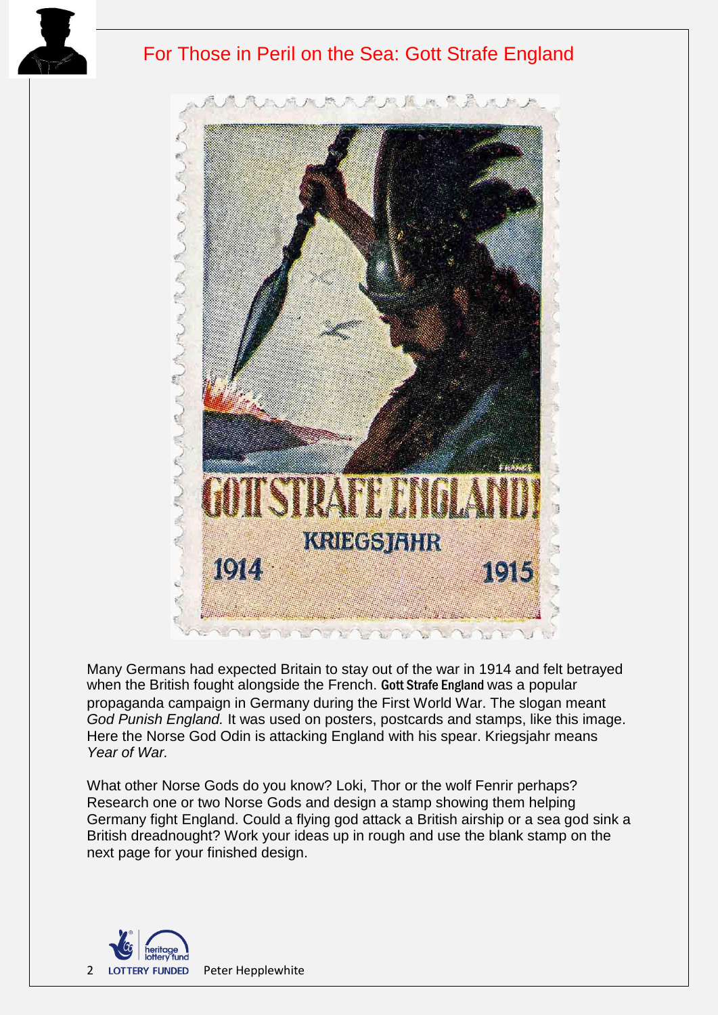

## For Those in Peril on the Sea: Gott Strafe England



Many Germans had expected Britain to stay out of the war in 1914 and felt betrayed when the British fought alongside the French. Gott Strafe England was a popular propaganda campaign in Germany during the First World War. The slogan meant *God Punish England.* It was used on posters, postcards and stamps, like this image. Here the Norse God Odin is attacking England with his spear. Kriegsjahr means *Year of War.*

What other Norse Gods do you know? Loki, Thor or the wolf Fenrir perhaps? Research one or two Norse Gods and design a stamp showing them helping Germany fight England. Could a flying god attack a British airship or a sea god sink a British dreadnought? Work your ideas up in rough and use the blank stamp on the next page for your finished design.